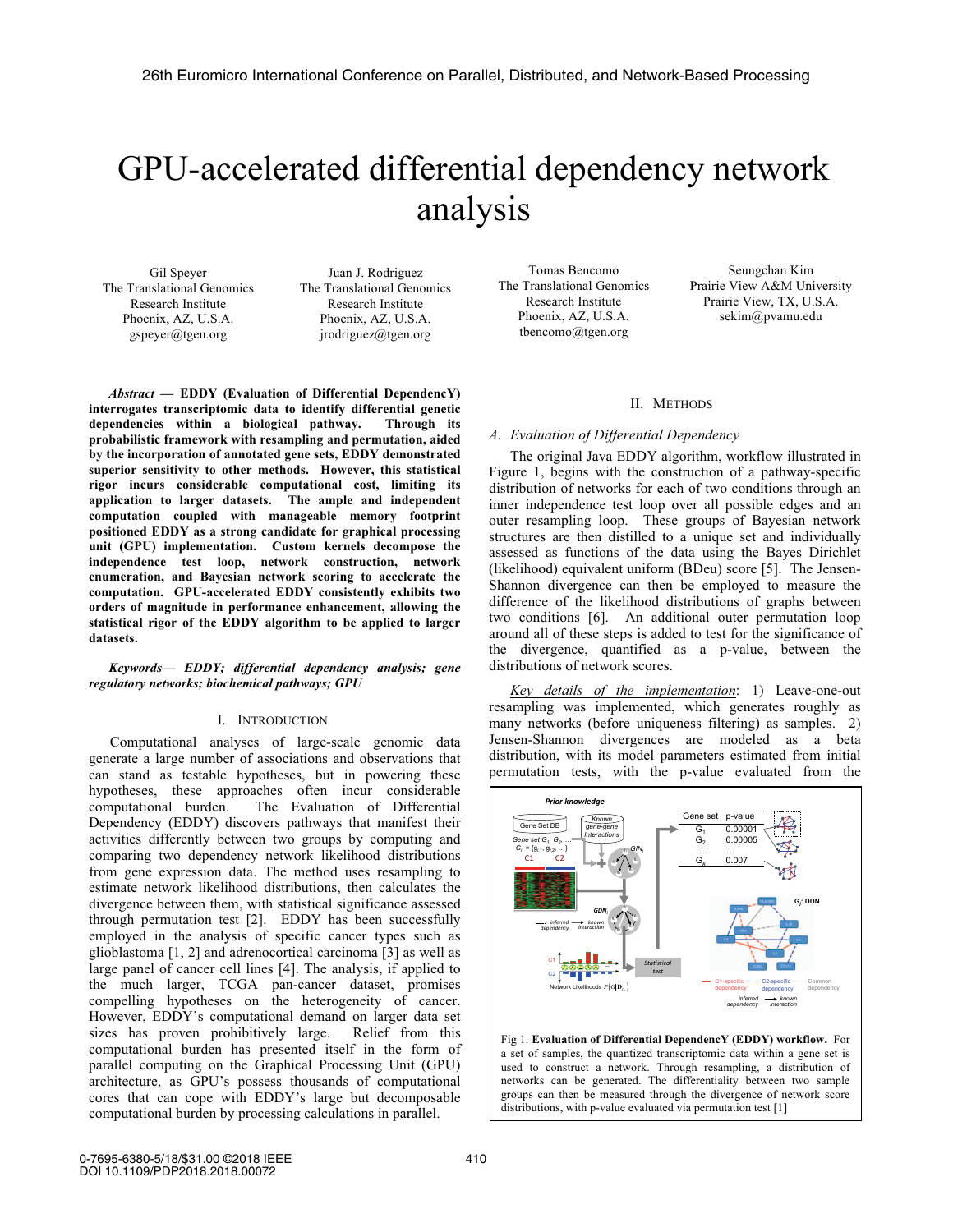# GPU-accelerated differential dependency network analysis

Gil Speyer The Translational Genomics Research Institute Phoenix, AZ, U.S.A. gspeyer@tgen.org

Juan J. Rodriguez The Translational Genomics Research Institute Phoenix, AZ, U.S.A. jrodriguez@tgen.org

*Abstract* **— EDDY (Evaluation of Differential DependencY) interrogates transcriptomic data to identify differential genetic dependencies within a biological pathway. Through its probabilistic framework with resampling and permutation, aided by the incorporation of annotated gene sets, EDDY demonstrated superior sensitivity to other methods. However, this statistical rigor incurs considerable computational cost, limiting its application to larger datasets. The ample and independent computation coupled with manageable memory footprint positioned EDDY as a strong candidate for graphical processing unit (GPU) implementation. Custom kernels decompose the independence test loop, network construction, network enumeration, and Bayesian network scoring to accelerate the computation. GPU-accelerated EDDY consistently exhibits two orders of magnitude in performance enhancement, allowing the statistical rigor of the EDDY algorithm to be applied to larger datasets.** 

## *Keywords— EDDY; differential dependency analysis; gene regulatory networks; biochemical pathways; GPU*

# I. INTRODUCTION

Computational analyses of large-scale genomic data generate a large number of associations and observations that can stand as testable hypotheses, but in powering these hypotheses, these approaches often incur considerable computational burden. The Evaluation of Differential Dependency (EDDY) discovers pathways that manifest their activities differently between two groups by computing and comparing two dependency network likelihood distributions from gene expression data. The method uses resampling to estimate network likelihood distributions, then calculates the divergence between them, with statistical significance assessed through permutation test [2]. EDDY has been successfully employed in the analysis of specific cancer types such as glioblastoma [1, 2] and adrenocortical carcinoma [3] as well as large panel of cancer cell lines [4]. The analysis, if applied to the much larger, TCGA pan-cancer dataset, promises compelling hypotheses on the heterogeneity of cancer. However, EDDY's computational demand on larger data set sizes has proven prohibitively large. Relief from this computational burden has presented itself in the form of parallel computing on the Graphical Processing Unit (GPU) architecture, as GPU's possess thousands of computational cores that can cope with EDDY's large but decomposable computational burden by processing calculations in parallel.

Tomas Bencomo The Translational Genomics Research Institute Phoenix, AZ, U.S.A. tbencomo@tgen.org

Seungchan Kim Prairie View A&M University Prairie View, TX, U.S.A. sekim@pvamu.edu

## II. METHODS

# *A. Evaluation of Differential Dependency*

The original Java EDDY algorithm, workflow illustrated in Figure 1, begins with the construction of a pathway-specific distribution of networks for each of two conditions through an inner independence test loop over all possible edges and an outer resampling loop. These groups of Bayesian network structures are then distilled to a unique set and individually assessed as functions of the data using the Bayes Dirichlet (likelihood) equivalent uniform (BDeu) score [5]. The Jensen-Shannon divergence can then be employed to measure the difference of the likelihood distributions of graphs between two conditions [6]. An additional outer permutation loop around all of these steps is added to test for the significance of the divergence, quantified as a p-value, between the distributions of network scores.

*Key details of the implementation*: 1) Leave-one-out resampling was implemented, which generates roughly as many networks (before uniqueness filtering) as samples. 2) Jensen-Shannon divergences are modeled as a beta distribution, with its model parameters estimated from initial permutation tests, with the p-value evaluated from the



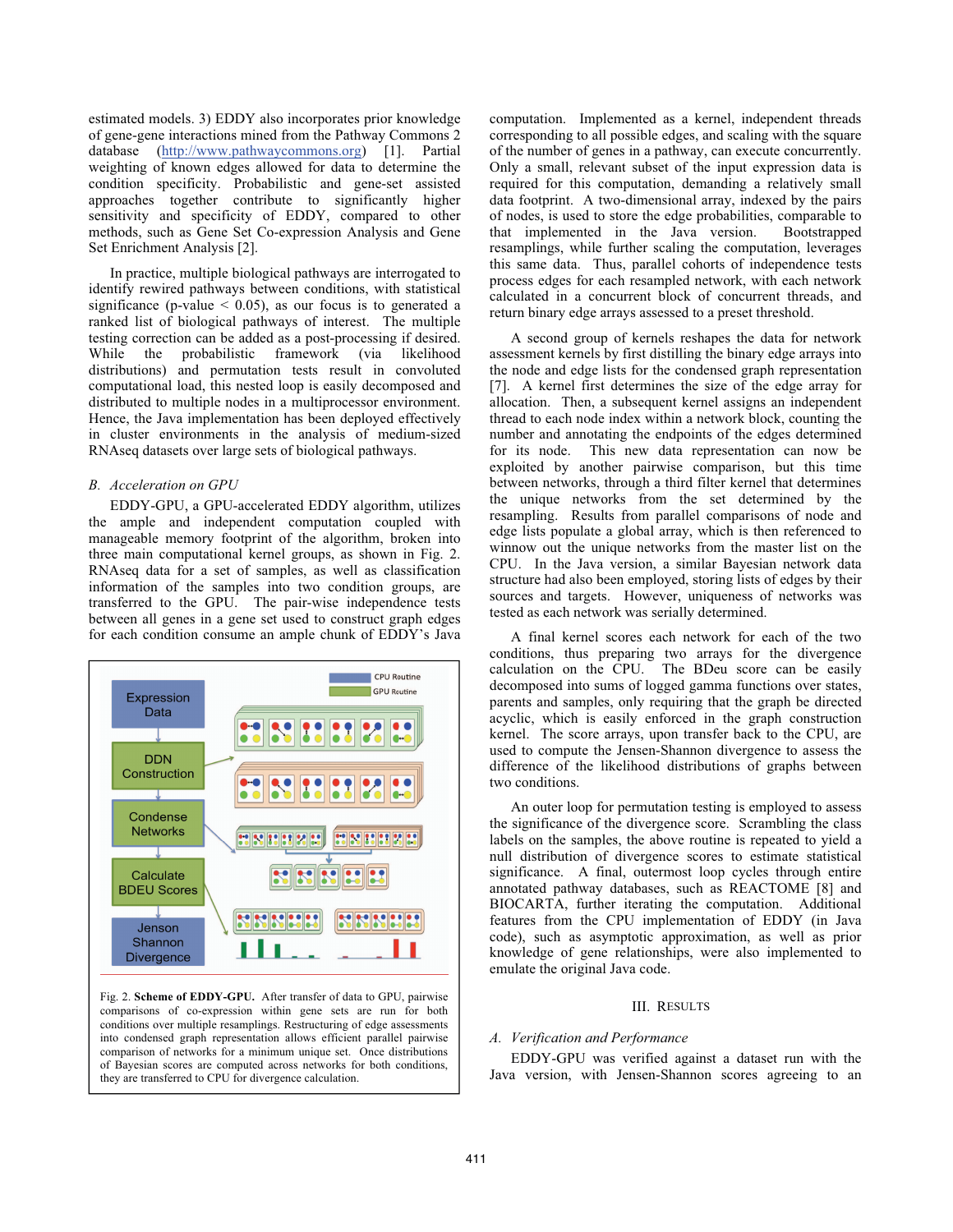estimated models. 3) EDDY also incorporates prior knowledge of gene-gene interactions mined from the Pathway Commons 2 database (http://www.pathwaycommons.org) [1]. Partial weighting of known edges allowed for data to determine the condition specificity. Probabilistic and gene-set assisted approaches together contribute to significantly higher sensitivity and specificity of EDDY, compared to other methods, such as Gene Set Co-expression Analysis and Gene Set Enrichment Analysis [2].

In practice, multiple biological pathways are interrogated to identify rewired pathways between conditions, with statistical significance (p-value  $\leq$  0.05), as our focus is to generated a ranked list of biological pathways of interest. The multiple testing correction can be added as a post-processing if desired.<br>While the probabilistic framework (via likelihood While the probabilistic framework (via likelihood distributions) and permutation tests result in convoluted computational load, this nested loop is easily decomposed and distributed to multiple nodes in a multiprocessor environment. Hence, the Java implementation has been deployed effectively in cluster environments in the analysis of medium-sized RNAseq datasets over large sets of biological pathways.

# *B. Acceleration on GPU*

EDDY-GPU, a GPU-accelerated EDDY algorithm, utilizes the ample and independent computation coupled with manageable memory footprint of the algorithm, broken into three main computational kernel groups, as shown in Fig. 2. RNAseq data for a set of samples, as well as classification information of the samples into two condition groups, are transferred to the GPU. The pair-wise independence tests between all genes in a gene set used to construct graph edges for each condition consume an ample chunk of EDDY's Java



Fig. 2. **Scheme of EDDY-GPU.** After transfer of data to GPU, pairwise comparisons of co-expression within gene sets are run for both conditions over multiple resamplings. Restructuring of edge assessments into condensed graph representation allows efficient parallel pairwise comparison of networks for a minimum unique set. Once distributions of Bayesian scores are computed across networks for both conditions, they are transferred to CPU for divergence calculation.

computation. Implemented as a kernel, independent threads corresponding to all possible edges, and scaling with the square of the number of genes in a pathway, can execute concurrently. Only a small, relevant subset of the input expression data is required for this computation, demanding a relatively small data footprint. A two-dimensional array, indexed by the pairs of nodes, is used to store the edge probabilities, comparable to that implemented in the Java version. Bootstrapped resamplings, while further scaling the computation, leverages this same data. Thus, parallel cohorts of independence tests process edges for each resampled network, with each network calculated in a concurrent block of concurrent threads, and return binary edge arrays assessed to a preset threshold.

A second group of kernels reshapes the data for network assessment kernels by first distilling the binary edge arrays into the node and edge lists for the condensed graph representation [7]. A kernel first determines the size of the edge array for allocation. Then, a subsequent kernel assigns an independent thread to each node index within a network block, counting the number and annotating the endpoints of the edges determined for its node. This new data representation can now be exploited by another pairwise comparison, but this time between networks, through a third filter kernel that determines the unique networks from the set determined by the resampling. Results from parallel comparisons of node and edge lists populate a global array, which is then referenced to winnow out the unique networks from the master list on the CPU. In the Java version, a similar Bayesian network data structure had also been employed, storing lists of edges by their sources and targets. However, uniqueness of networks was tested as each network was serially determined.

A final kernel scores each network for each of the two conditions, thus preparing two arrays for the divergence calculation on the CPU. The BDeu score can be easily decomposed into sums of logged gamma functions over states, parents and samples, only requiring that the graph be directed acyclic, which is easily enforced in the graph construction kernel. The score arrays, upon transfer back to the CPU, are used to compute the Jensen-Shannon divergence to assess the difference of the likelihood distributions of graphs between two conditions.

An outer loop for permutation testing is employed to assess the significance of the divergence score. Scrambling the class labels on the samples, the above routine is repeated to yield a null distribution of divergence scores to estimate statistical significance. A final, outermost loop cycles through entire annotated pathway databases, such as REACTOME [8] and BIOCARTA, further iterating the computation. Additional features from the CPU implementation of EDDY (in Java code), such as asymptotic approximation, as well as prior knowledge of gene relationships, were also implemented to emulate the original Java code.

### III. RESULTS

### *A. Verification and Performance*

EDDY-GPU was verified against a dataset run with the Java version, with Jensen-Shannon scores agreeing to an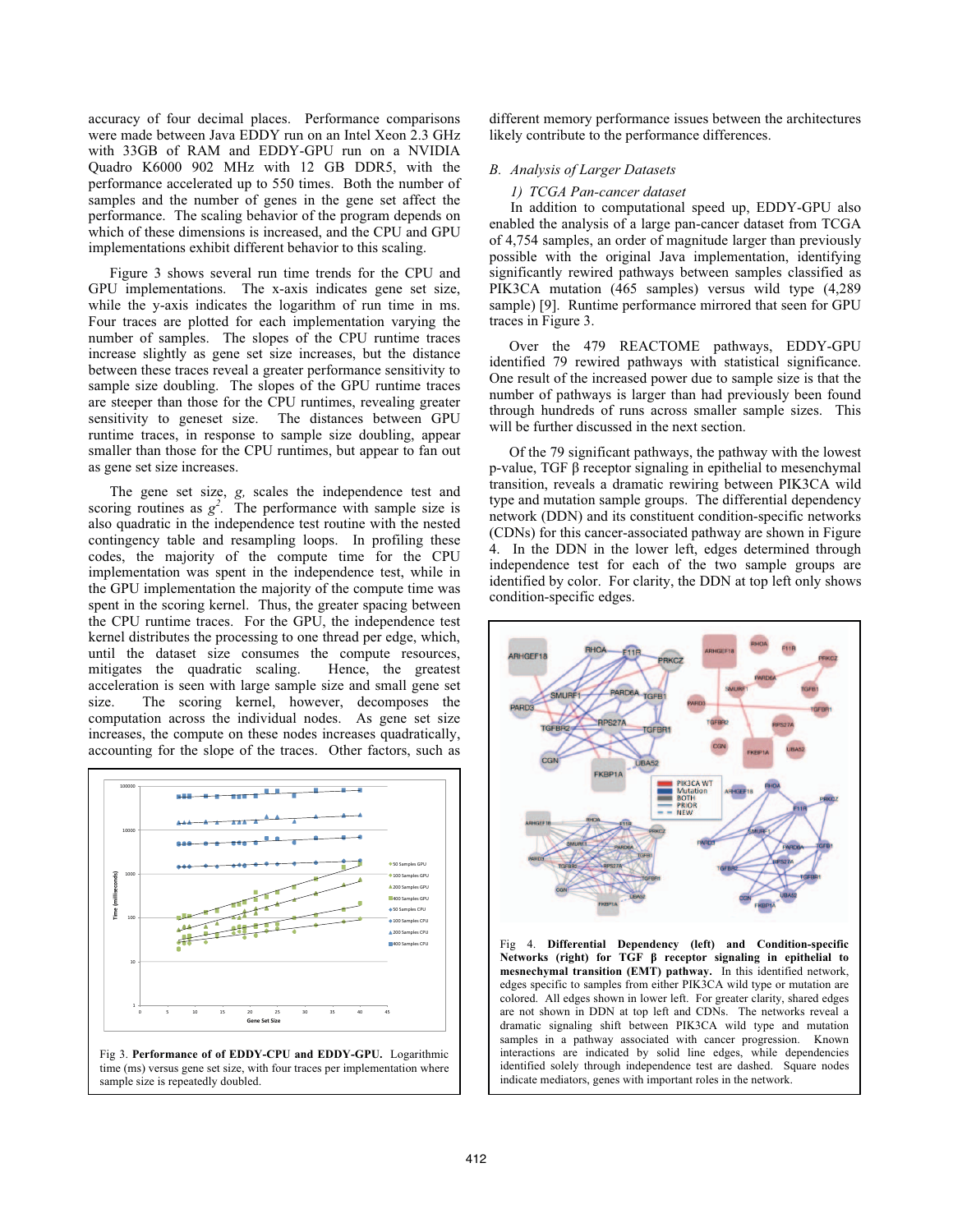accuracy of four decimal places. Performance comparisons were made between Java EDDY run on an Intel Xeon 2.3 GHz with 33GB of RAM and EDDY-GPU run on a NVIDIA Quadro K6000 902 MHz with 12 GB DDR5, with the performance accelerated up to 550 times. Both the number of samples and the number of genes in the gene set affect the performance. The scaling behavior of the program depends on which of these dimensions is increased, and the CPU and GPU implementations exhibit different behavior to this scaling.

Figure 3 shows several run time trends for the CPU and GPU implementations. The x-axis indicates gene set size, while the y-axis indicates the logarithm of run time in ms. Four traces are plotted for each implementation varying the number of samples. The slopes of the CPU runtime traces increase slightly as gene set size increases, but the distance between these traces reveal a greater performance sensitivity to sample size doubling. The slopes of the GPU runtime traces are steeper than those for the CPU runtimes, revealing greater sensitivity to geneset size. The distances between GPU runtime traces, in response to sample size doubling, appear smaller than those for the CPU runtimes, but appear to fan out as gene set size increases.

The gene set size, *g,* scales the independence test and scoring routines as  $g^2$ . The performance with sample size is also quadratic in the independence test routine with the nested contingency table and resampling loops. In profiling these codes, the majority of the compute time for the CPU implementation was spent in the independence test, while in the GPU implementation the majority of the compute time was spent in the scoring kernel. Thus, the greater spacing between the CPU runtime traces. For the GPU, the independence test kernel distributes the processing to one thread per edge, which, until the dataset size consumes the compute resources, mitigates the quadratic scaling. Hence, the greatest mitigates the quadratic scaling. acceleration is seen with large sample size and small gene set size. The scoring kernel, however, decomposes the computation across the individual nodes. As gene set size increases, the compute on these nodes increases quadratically, accounting for the slope of the traces. Other factors, such as





different memory performance issues between the architectures likely contribute to the performance differences.

# *B. Analysis of Larger Datasets*

#### *1) TCGA Pan-cancer dataset*

 In addition to computational speed up, EDDY-GPU also enabled the analysis of a large pan-cancer dataset from TCGA of 4,754 samples, an order of magnitude larger than previously possible with the original Java implementation, identifying significantly rewired pathways between samples classified as PIK3CA mutation (465 samples) versus wild type (4,289 sample) [9]. Runtime performance mirrored that seen for GPU traces in Figure 3.

Over the 479 REACTOME pathways, EDDY-GPU identified 79 rewired pathways with statistical significance. One result of the increased power due to sample size is that the number of pathways is larger than had previously been found through hundreds of runs across smaller sample sizes. This will be further discussed in the next section.

Of the 79 significant pathways, the pathway with the lowest p-value, TGF β receptor signaling in epithelial to mesenchymal transition, reveals a dramatic rewiring between PIK3CA wild type and mutation sample groups. The differential dependency network (DDN) and its constituent condition-specific networks (CDNs) for this cancer-associated pathway are shown in Figure 4. In the DDN in the lower left, edges determined through independence test for each of the two sample groups are identified by color. For clarity, the DDN at top left only shows condition-specific edges.



Fig 4. **Differential Dependency (left) and Condition-specific Networks (right) for TGF β receptor signaling in epithelial to mesnechymal transition (EMT) pathway.** In this identified network, edges specific to samples from either PIK3CA wild type or mutation are colored. All edges shown in lower left. For greater clarity, shared edges are not shown in DDN at top left and CDNs. The networks reveal a dramatic signaling shift between PIK3CA wild type and mutation samples in a pathway associated with cancer progression. Known interactions are indicated by solid line edges, while dependencies identified solely through independence test are dashed. Square nodes indicate mediators, genes with important roles in the network.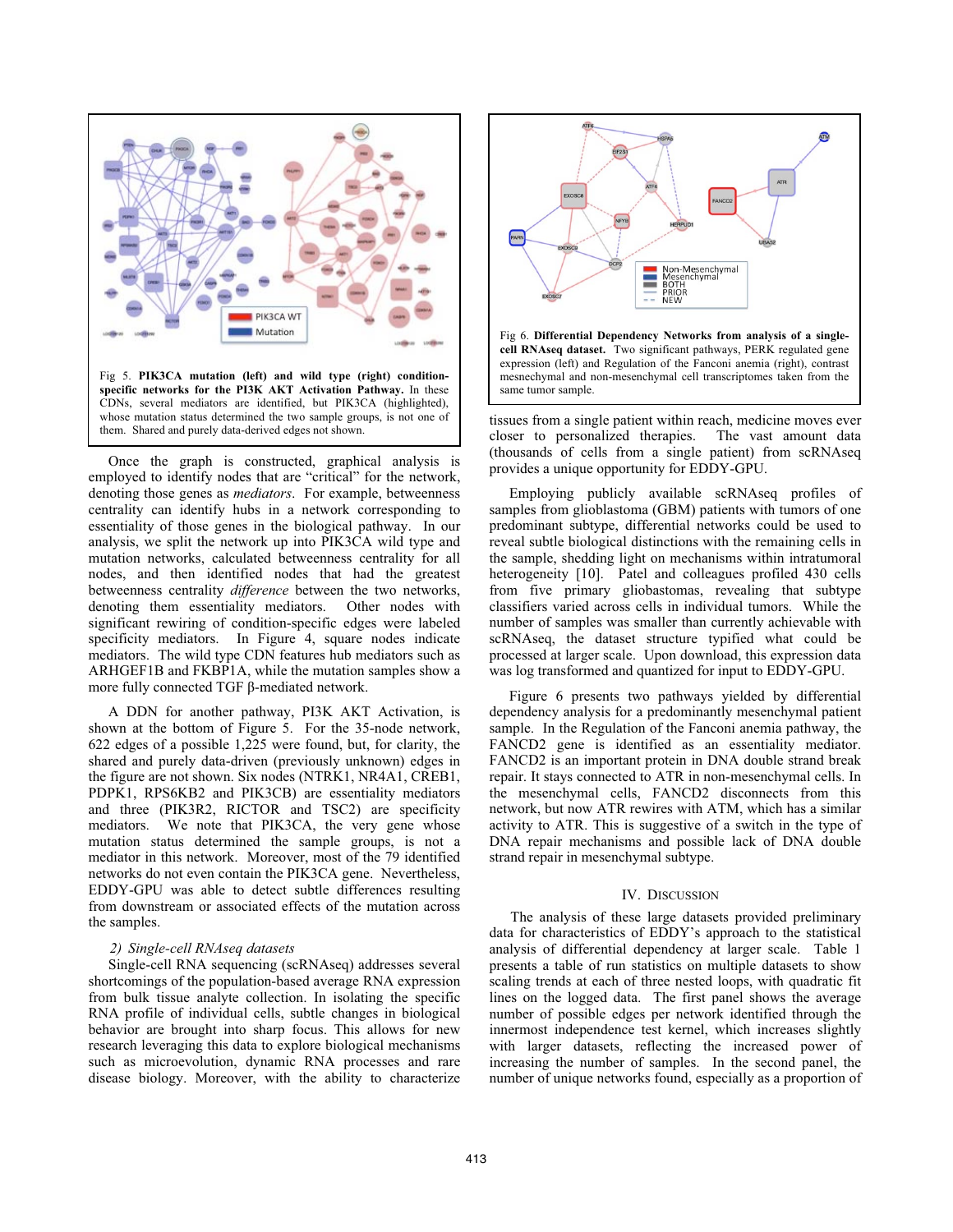

Once the graph is constructed, graphical analysis is employed to identify nodes that are "critical" for the network, denoting those genes as *mediators*. For example, betweenness centrality can identify hubs in a network corresponding to essentiality of those genes in the biological pathway. In our analysis, we split the network up into PIK3CA wild type and mutation networks, calculated betweenness centrality for all nodes, and then identified nodes that had the greatest betweenness centrality *difference* between the two networks, denoting them essentiality mediators. Other nodes with significant rewiring of condition-specific edges were labeled specificity mediators. In Figure 4, square nodes indicate mediators. The wild type CDN features hub mediators such as ARHGEF1B and FKBP1A, while the mutation samples show a more fully connected TGF β-mediated network.

A DDN for another pathway, PI3K AKT Activation, is shown at the bottom of Figure 5. For the 35-node network, 622 edges of a possible 1,225 were found, but, for clarity, the shared and purely data-driven (previously unknown) edges in the figure are not shown. Six nodes (NTRK1, NR4A1, CREB1, PDPK1, RPS6KB2 and PIK3CB) are essentiality mediators and three (PIK3R2, RICTOR and TSC2) are specificity mediators. We note that PIK3CA, the very gene whose mutation status determined the sample groups, is not a mediator in this network. Moreover, most of the 79 identified networks do not even contain the PIK3CA gene. Nevertheless, EDDY-GPU was able to detect subtle differences resulting from downstream or associated effects of the mutation across the samples.

# *2) Single-cell RNAseq datasets*

Single-cell RNA sequencing (scRNAseq) addresses several shortcomings of the population-based average RNA expression from bulk tissue analyte collection. In isolating the specific RNA profile of individual cells, subtle changes in biological behavior are brought into sharp focus. This allows for new research leveraging this data to explore biological mechanisms such as microevolution, dynamic RNA processes and rare disease biology. Moreover, with the ability to characterize



tissues from a single patient within reach, medicine moves ever closer to personalized therapies. The vast amount data (thousands of cells from a single patient) from scRNAseq provides a unique opportunity for EDDY-GPU.

Employing publicly available scRNAseq profiles of samples from glioblastoma (GBM) patients with tumors of one predominant subtype, differential networks could be used to reveal subtle biological distinctions with the remaining cells in the sample, shedding light on mechanisms within intratumoral heterogeneity [10]. Patel and colleagues profiled 430 cells from five primary gliobastomas, revealing that subtype classifiers varied across cells in individual tumors. While the number of samples was smaller than currently achievable with scRNAseq, the dataset structure typified what could be processed at larger scale. Upon download, this expression data was log transformed and quantized for input to EDDY-GPU.

Figure 6 presents two pathways yielded by differential dependency analysis for a predominantly mesenchymal patient sample. In the Regulation of the Fanconi anemia pathway, the FANCD2 gene is identified as an essentiality mediator. FANCD2 is an important protein in DNA double strand break repair. It stays connected to ATR in non-mesenchymal cells. In the mesenchymal cells, FANCD2 disconnects from this network, but now ATR rewires with ATM, which has a similar activity to ATR. This is suggestive of a switch in the type of DNA repair mechanisms and possible lack of DNA double strand repair in mesenchymal subtype.

#### IV. DISCUSSION

The analysis of these large datasets provided preliminary data for characteristics of EDDY's approach to the statistical analysis of differential dependency at larger scale. Table 1 presents a table of run statistics on multiple datasets to show scaling trends at each of three nested loops, with quadratic fit lines on the logged data. The first panel shows the average number of possible edges per network identified through the innermost independence test kernel, which increases slightly with larger datasets, reflecting the increased power of increasing the number of samples. In the second panel, the number of unique networks found, especially as a proportion of